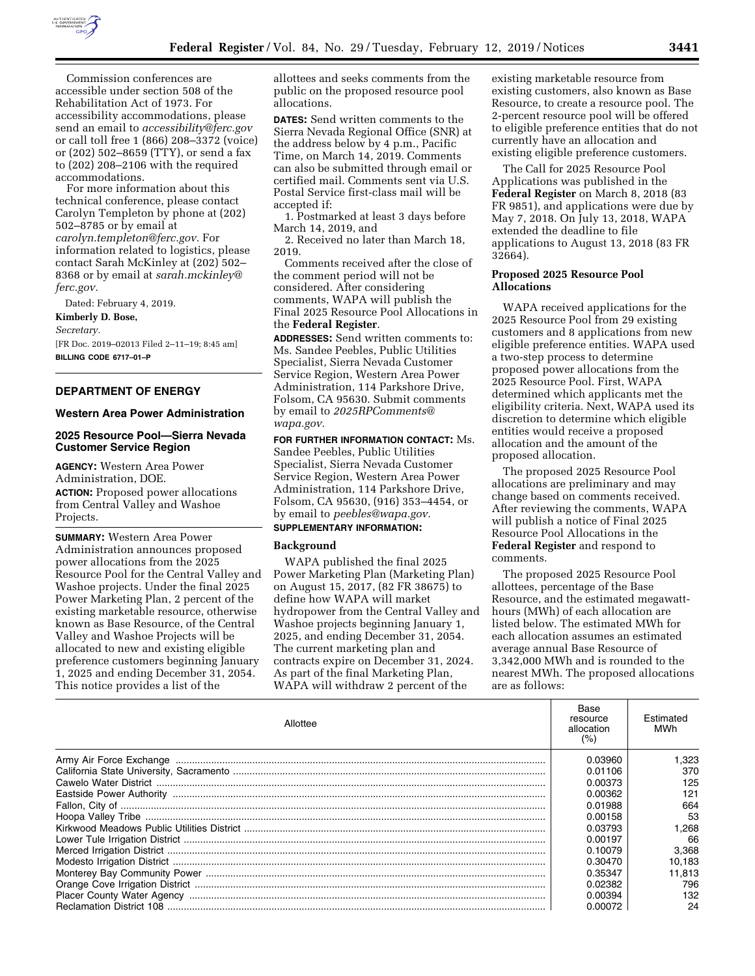

Commission conferences are accessible under section 508 of the Rehabilitation Act of 1973. For accessibility accommodations, please send an email to *[accessibility@ferc.gov](mailto:accessibility@ferc.gov)*  or call toll free 1 (866) 208–3372 (voice) or (202) 502–8659 (TTY), or send a fax to (202) 208–2106 with the required accommodations.

For more information about this technical conference, please contact Carolyn Templeton by phone at (202) 502–8785 or by email at *[carolyn.templeton@ferc.gov.](mailto:carolyn.templeton@ferc.gov)* For information related to logistics, please contact Sarah McKinley at (202) 502– 8368 or by email at *[sarah.mckinley@](mailto:sarah.mckinley@ferc.gov) [ferc.gov.](mailto:sarah.mckinley@ferc.gov)* 

Dated: February 4, 2019.

### **Kimberly D. Bose,**

*Secretary.* 

[FR Doc. 2019–02013 Filed 2–11–19; 8:45 am] **BILLING CODE 6717–01–P** 

### **DEPARTMENT OF ENERGY**

### **Western Area Power Administration**

### **2025 Resource Pool—Sierra Nevada Customer Service Region**

**AGENCY:** Western Area Power Administration, DOE. **ACTION:** Proposed power allocations from Central Valley and Washoe Projects.

**SUMMARY:** Western Area Power Administration announces proposed power allocations from the 2025 Resource Pool for the Central Valley and Washoe projects. Under the final 2025 Power Marketing Plan, 2 percent of the existing marketable resource, otherwise known as Base Resource, of the Central Valley and Washoe Projects will be allocated to new and existing eligible preference customers beginning January 1, 2025 and ending December 31, 2054. This notice provides a list of the

allottees and seeks comments from the public on the proposed resource pool allocations.

**DATES:** Send written comments to the Sierra Nevada Regional Office (SNR) at the address below by 4 p.m., Pacific Time, on March 14, 2019. Comments can also be submitted through email or certified mail. Comments sent via U.S. Postal Service first-class mail will be accepted if:

1. Postmarked at least 3 days before March 14, 2019, and

2. Received no later than March 18, 2019.

Comments received after the close of the comment period will not be considered. After considering comments, WAPA will publish the Final 2025 Resource Pool Allocations in the **Federal Register**.

**ADDRESSES:** Send written comments to: Ms. Sandee Peebles, Public Utilities Specialist, Sierra Nevada Customer Service Region, Western Area Power Administration, 114 Parkshore Drive, Folsom, CA 95630. Submit comments by email to *[2025RPComments@](mailto:2025RPComments@wapa.gov) [wapa.gov.](mailto:2025RPComments@wapa.gov)* 

**FOR FURTHER INFORMATION CONTACT:** Ms. Sandee Peebles, Public Utilities Specialist, Sierra Nevada Customer Service Region, Western Area Power Administration, 114 Parkshore Drive, Folsom, CA 95630, (916) 353–4454, or by email to *[peebles@wapa.gov.](mailto:peebles@wapa.gov)* 

# **SUPPLEMENTARY INFORMATION:**

### **Background**

WAPA published the final 2025 Power Marketing Plan (Marketing Plan) on August 15, 2017, (82 FR 38675) to define how WAPA will market hydropower from the Central Valley and Washoe projects beginning January 1, 2025, and ending December 31, 2054. The current marketing plan and contracts expire on December 31, 2024. As part of the final Marketing Plan, WAPA will withdraw 2 percent of the

existing marketable resource from existing customers, also known as Base Resource, to create a resource pool. The 2-percent resource pool will be offered to eligible preference entities that do not currently have an allocation and existing eligible preference customers.

The Call for 2025 Resource Pool Applications was published in the **Federal Register** on March 8, 2018 (83 FR 9851), and applications were due by May 7, 2018. On July 13, 2018, WAPA extended the deadline to file applications to August 13, 2018 (83 FR 32664).

### **Proposed 2025 Resource Pool Allocations**

WAPA received applications for the 2025 Resource Pool from 29 existing customers and 8 applications from new eligible preference entities. WAPA used a two-step process to determine proposed power allocations from the 2025 Resource Pool. First, WAPA determined which applicants met the eligibility criteria. Next, WAPA used its discretion to determine which eligible entities would receive a proposed allocation and the amount of the proposed allocation.

The proposed 2025 Resource Pool allocations are preliminary and may change based on comments received. After reviewing the comments, WAPA will publish a notice of Final 2025 Resource Pool Allocations in the **Federal Register** and respond to comments.

The proposed 2025 Resource Pool allottees, percentage of the Base Resource, and the estimated megawatthours (MWh) of each allocation are listed below. The estimated MWh for each allocation assumes an estimated average annual Base Resource of 3,342,000 MWh and is rounded to the nearest MWh. The proposed allocations are as follows:

| Allottee | Base<br>resource<br>allocation<br>(%` | Estimated<br>MWh |
|----------|---------------------------------------|------------------|
|          | 0.03960                               | .323             |
|          | 0.01106                               | 370              |
|          | 0.00373                               | 125              |
|          | 0.00362                               | 121              |
|          | 0.01988                               | 664              |
|          | 0.00158                               | 53               |
|          | 0.03793                               | .268             |
|          | 0.00197                               | 66               |
|          | 0.10079                               | 3.368            |
|          | 0.30470                               | 10,183           |
|          | 0.35347                               | 11.813           |
|          | 0.02382                               | 796              |
|          | 0.00394                               | 132              |
|          | 0.00072                               | 24               |